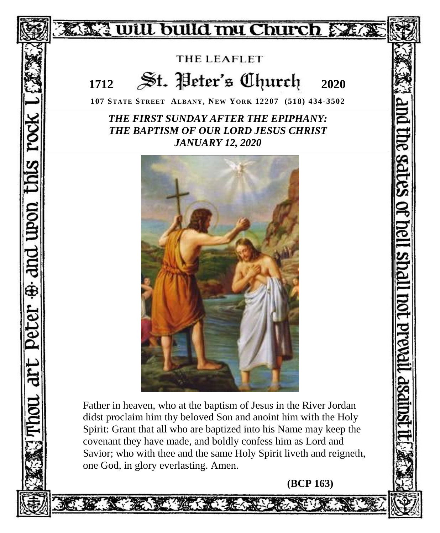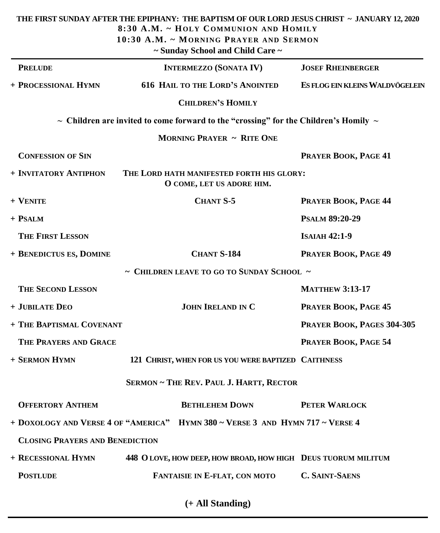|                                        | THE FIRST SUNDAY AFTER THE EPIPHANY: THE BAPTISM OF OUR LORD JESUS CHRIST ~ JANUARY 12, 2020<br>8:30 A.M. ~ HOLY COMMUNION AND HOMILY<br>10:30 A.M. ~ MORNING PRAYER AND SERMON<br>~ Sunday School and Child Care ~ |                                 |
|----------------------------------------|---------------------------------------------------------------------------------------------------------------------------------------------------------------------------------------------------------------------|---------------------------------|
| <b>PRELUDE</b>                         | <b>INTERMEZZO (SONATA IV)</b>                                                                                                                                                                                       | <b>JOSEF RHEINBERGER</b>        |
| + PROCESSIONAL HYMN                    | <b>616 HAIL TO THE LORD'S ANOINTED</b>                                                                                                                                                                              | ES FLOG EIN KLEINS WALDVÖGELEIN |
|                                        | <b>CHILDREN'S HOMILY</b>                                                                                                                                                                                            |                                 |
|                                        | $\sim$ Children are invited to come forward to the "crossing" for the Children's Homily $\sim$                                                                                                                      |                                 |
|                                        | <b>MORNING PRAYER ~ RITE ONE</b>                                                                                                                                                                                    |                                 |
| <b>CONFESSION OF SIN</b>               |                                                                                                                                                                                                                     | PRAYER BOOK, PAGE 41            |
| + INVITATORY ANTIPHON                  | THE LORD HATH MANIFESTED FORTH HIS GLORY:<br>O COME, LET US ADORE HIM.                                                                                                                                              |                                 |
| + VENITE                               | <b>CHANT S-5</b>                                                                                                                                                                                                    | PRAYER BOOK, PAGE 44            |
| + PSALM                                |                                                                                                                                                                                                                     | <b>PSALM 89:20-29</b>           |
| <b>THE FIRST LESSON</b>                |                                                                                                                                                                                                                     | <b>ISAIAH 42:1-9</b>            |
| + BENEDICTUS ES, DOMINE                | <b>CHANT S-184</b>                                                                                                                                                                                                  | PRAYER BOOK, PAGE 49            |
|                                        | $\sim$ CHILDREN LEAVE TO GO TO SUNDAY SCHOOL $\sim$                                                                                                                                                                 |                                 |
| <b>THE SECOND LESSON</b>               |                                                                                                                                                                                                                     | <b>MATTHEW 3:13-17</b>          |
| + JUBILATE DEO                         | <b>JOHN IRELAND IN C</b>                                                                                                                                                                                            | PRAYER BOOK, PAGE 45            |
| + THE BAPTISMAL COVENANT               |                                                                                                                                                                                                                     | PRAYER BOOK, PAGES 304-305      |
| THE PRAYERS AND GRACE                  |                                                                                                                                                                                                                     | PRAYER BOOK, PAGE 54            |
| + SERMON HYMN                          | 121 CHRIST, WHEN FOR US YOU WERE BAPTIZED CAITHNESS                                                                                                                                                                 |                                 |
|                                        | <b>SERMON ~ THE REV. PAUL J. HARTT, RECTOR</b>                                                                                                                                                                      |                                 |
| <b>OFFERTORY ANTHEM</b>                | <b>BETHLEHEM DOWN</b>                                                                                                                                                                                               | PETER WARLOCK                   |
|                                        | + DOXOLOGY AND VERSE 4 OF "AMERICA" HYMN 380 ~ VERSE 3 AND HYMN 717 ~ VERSE 4                                                                                                                                       |                                 |
| <b>CLOSING PRAYERS AND BENEDICTION</b> |                                                                                                                                                                                                                     |                                 |
| + RECESSIONAL HYMN                     | 448 O LOVE, HOW DEEP, HOW BROAD, HOW HIGH DEUS TUORUM MILITUM                                                                                                                                                       |                                 |
| <b>POSTLUDE</b>                        | FANTAISIE IN E-FLAT, CON MOTO                                                                                                                                                                                       | <b>C. SAINT-SAENS</b>           |

**(+ All Standing)**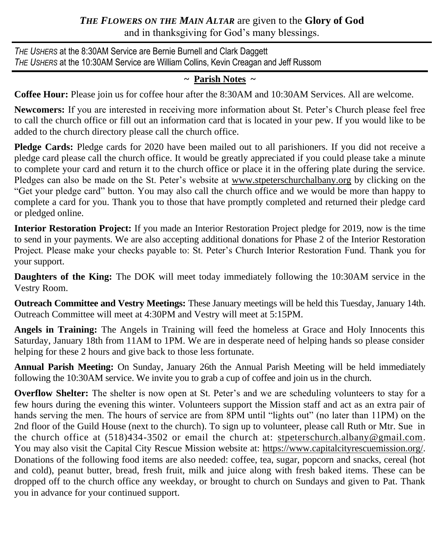# *THE FLOWERS ON THE MAIN ALTAR* are given to the **Glory of God** and in thanksgiving for God's many blessings.

*THE USHERS* at the 8:30AM Service are Bernie Burnell and Clark Daggett *THE USHERS* at the 10:30AM Service are William Collins, Kevin Creagan and Jeff Russom

# **~ Parish Notes ~**

**Coffee Hour:** Please join us for coffee hour after the 8:30AM and 10:30AM Services. All are welcome.

**Newcomers:** If you are interested in receiving more information about St. Peter's Church please feel free to call the church office or fill out an information card that is located in your pew. If you would like to be added to the church directory please call the church office.

**Pledge Cards:** Pledge cards for 2020 have been mailed out to all parishioners. If you did not receive a pledge card please call the church office. It would be greatly appreciated if you could please take a minute to complete your card and return it to the church office or place it in the offering plate during the service. Pledges can also be made on the St. Peter's website at [www.stpeterschurchalbany.org](http://www.stpeterschurchalbany.org) by clicking on the "Get your pledge card" button. You may also call the church office and we would be more than happy to complete a card for you. Thank you to those that have promptly completed and returned their pledge card or pledged online.

**Interior Restoration Project:** If you made an Interior Restoration Project pledge for 2019, now is the time to send in your payments. We are also accepting additional donations for Phase 2 of the Interior Restoration Project. Please make your checks payable to: St. Peter's Church Interior Restoration Fund. Thank you for your support.

**Daughters of the King:** The DOK will meet today immediately following the 10:30AM service in the Vestry Room.

**Outreach Committee and Vestry Meetings:** These January meetings will be held this Tuesday, January 14th. Outreach Committee will meet at 4:30PM and Vestry will meet at 5:15PM.

**Angels in Training:** The Angels in Training will feed the homeless at Grace and Holy Innocents this Saturday, January 18th from 11AM to 1PM. We are in desperate need of helping hands so please consider helping for these 2 hours and give back to those less fortunate.

**Annual Parish Meeting:** On Sunday, January 26th the Annual Parish Meeting will be held immediately following the 10:30AM service. We invite you to grab a cup of coffee and join us in the church.

**Overflow Shelter:** The shelter is now open at St. Peter's and we are scheduling volunteers to stay for a few hours during the evening this winter. Volunteers support the Mission staff and act as an extra pair of hands serving the men. The hours of service are from 8PM until "lights out" (no later than 11PM) on the 2nd floor of the Guild House (next to the church). To sign up to volunteer, please call Ruth or Mtr. Sue in the church office at (518)434-3502 or email the church at: stpeterschurch.albany@gmail.com. You may also visit the Capital City Rescue Mission website at: https://www.capitalcityrescuemission.org/. Donations of the following food items are also needed: coffee, tea, sugar, popcorn and snacks, cereal (hot and cold), peanut butter, bread, fresh fruit, milk and juice along with fresh baked items. These can be dropped off to the church office any weekday, or brought to church on Sundays and given to Pat. Thank you in advance for your continued support.